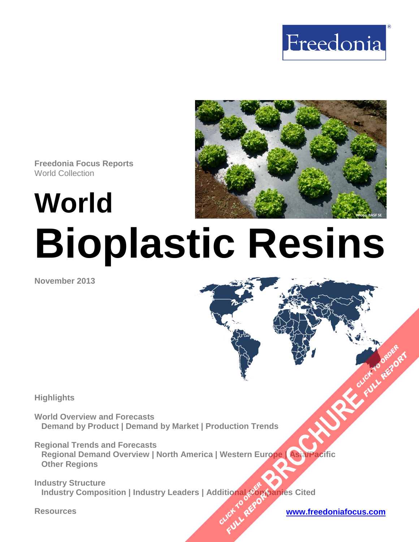



**Freedonia Focus Reports** World Collection

**World**

# **Bioplastic Resins**

**November 2013**

**Highlights** 

**World Overview and Forecasts Demand by Product | Demand by Market | Production Trends** 

**Regional Trends and Forecasts Regional Demand Overview | North America | Western Europe | Asia/Pacific Other Regions [BROCHURE](http://www.freedoniagroup.com/FocusDetails.aspx?ReferrerId=FM-FocusBro&ReportID=FW55040) CLICK TO ORDER**<br>BROCHURE CLICK TO ORDER

**Industry Structure Industry Composition | Industry Leaders | Additional ①mpanies Cited CLICK TO AREFORM FULL REPORT** 

**Resources [www.freedoniafocus.com](http://www.freedoniagroup.com/FocusReports.aspx?ReferrerId=FM-FocusBro)**

**FULL REP**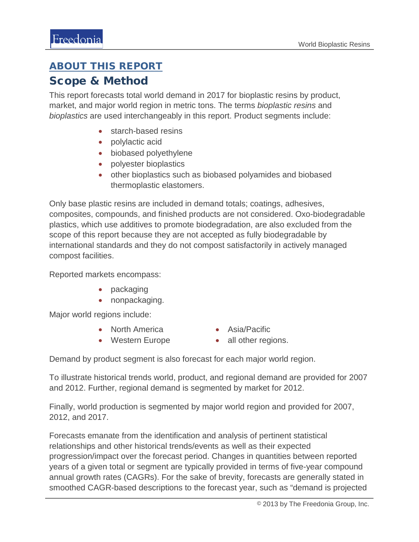#### ABOUT THIS REPORT

#### Scope & Method

This report forecasts total world demand in 2017 for bioplastic resins by product, market, and major world region in metric tons. The terms *bioplastic resins* and *bioplastics* are used interchangeably in this report. Product segments include:

- starch-based resins
- polylactic acid
- biobased polyethylene
- polyester bioplastics
- other bioplastics such as biobased polyamides and biobased thermoplastic elastomers.

Only base plastic resins are included in demand totals; coatings, adhesives, composites, compounds, and finished products are not considered. Oxo-biodegradable plastics, which use additives to promote biodegradation, are also excluded from the scope of this report because they are not accepted as fully biodegradable by international standards and they do not compost satisfactorily in actively managed compost facilities.

Reported markets encompass:

- packaging
- nonpackaging.

Major world regions include:

- North America
- Asia/Pacific
- Western Europe
- all other regions.

Demand by product segment is also forecast for each major world region.

To illustrate historical trends world, product, and regional demand are provided for 2007 and 2012. Further, regional demand is segmented by market for 2012.

Finally, world production is segmented by major world region and provided for 2007, 2012, and 2017.

Forecasts emanate from the identification and analysis of pertinent statistical relationships and other historical trends/events as well as their expected progression/impact over the forecast period. Changes in quantities between reported years of a given total or segment are typically provided in terms of five-year compound annual growth rates (CAGRs). For the sake of brevity, forecasts are generally stated in smoothed CAGR-based descriptions to the forecast year, such as "demand is projected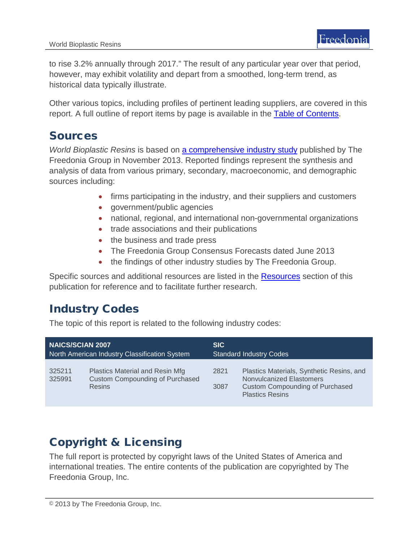to rise 3.2% annually through 2017." The result of any particular year over that period, however, may exhibit volatility and depart from a smoothed, long-term trend, as historical data typically illustrate.

Other various topics, including profiles of pertinent leading suppliers, are covered in this report. A full outline of report items by page is available in the [Table of Contents.](#page-3-0)

#### Sources

*World Bioplastic Resins* is based on [a comprehensive industry study](http://www.freedoniagroup.com/DocumentDetails.aspx?ReferrerId=FL-FOCUS&studyid=3089) published by The Freedonia Group in November 2013. Reported findings represent the synthesis and analysis of data from various primary, secondary, macroeconomic, and demographic sources including:

- firms participating in the industry, and their suppliers and customers
- government/public agencies
- national, regional, and international non-governmental organizations
- trade associations and their publications
- the business and trade press
- The Freedonia Group Consensus Forecasts dated June 2013
- the findings of other industry studies by The Freedonia Group.

Specific sources and additional resources are listed in the Resources section of this publication for reference and to facilitate further research.

#### Industry Codes

The topic of this report is related to the following industry codes:

| <b>NAICS/SCIAN 2007</b>                       |                                                                                            | <b>SIC</b>                     |                                                                                                                                           |
|-----------------------------------------------|--------------------------------------------------------------------------------------------|--------------------------------|-------------------------------------------------------------------------------------------------------------------------------------------|
| North American Industry Classification System |                                                                                            | <b>Standard Industry Codes</b> |                                                                                                                                           |
| 325211<br>325991                              | Plastics Material and Resin Mfg<br><b>Custom Compounding of Purchased</b><br><b>Resins</b> | 2821<br>3087                   | Plastics Materials, Synthetic Resins, and<br>Nonvulcanized Elastomers<br><b>Custom Compounding of Purchased</b><br><b>Plastics Resins</b> |

## Copyright & Licensing

The full report is protected by copyright laws of the United States of America and international treaties. The entire contents of the publication are copyrighted by The Freedonia Group, Inc.